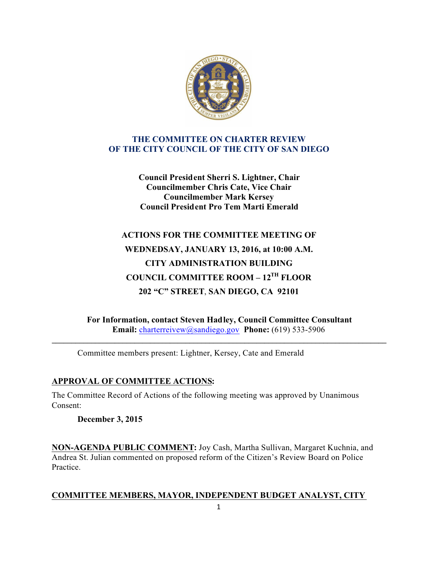

## **THE COMMITTEE ON CHARTER REVIEW OF THE CITY COUNCIL OF THE CITY OF SAN DIEGO**

**Council President Sherri S. Lightner, Chair Councilmember Chris Cate, Vice Chair Councilmember Mark Kersey Council President Pro Tem Marti Emerald**

# **ACTIONS FOR THE COMMITTEE MEETING OF WEDNEDSAY, JANUARY 13, 2016, at 10:00 A.M. CITY ADMINISTRATION BUILDING COUNCIL COMMITTEE ROOM – 12TH FLOOR 202 "C" STREET**, **SAN DIEGO, CA 92101**

**For Information, contact Steven Hadley, Council Committee Consultant Email:** charterreivew@sandiego.gov **Phone:** (619) 533-5906

**\_\_\_\_\_\_\_\_\_\_\_\_\_\_\_\_\_\_\_\_\_\_\_\_\_\_\_\_\_\_\_\_\_\_\_\_\_\_\_\_\_\_\_\_\_\_\_\_\_\_\_\_\_\_\_\_\_\_\_\_\_\_\_\_\_\_\_\_\_\_\_\_\_\_\_\_\_\_\_\_\_\_\_\_\_**

Committee members present: Lightner, Kersey, Cate and Emerald

# **APPROVAL OF COMMITTEE ACTIONS:**

The Committee Record of Actions of the following meeting was approved by Unanimous Consent:

**December 3, 2015**

**NON-AGENDA PUBLIC COMMENT:** Joy Cash, Martha Sullivan, Margaret Kuchnia, and Andrea St. Julian commented on proposed reform of the Citizen's Review Board on Police Practice.

## **COMMITTEE MEMBERS, MAYOR, INDEPENDENT BUDGET ANALYST, CITY**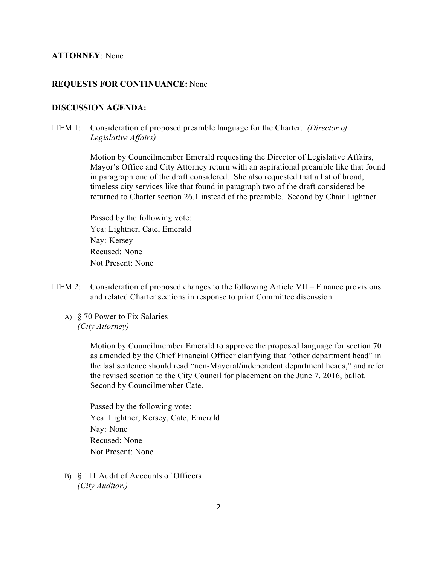## **ATTORNEY**: None

## **REQUESTS FOR CONTINUANCE:** None

## **DISCUSSION AGENDA:**

ITEM 1: Consideration of proposed preamble language for the Charter. *(Director of Legislative Affairs)*

> Motion by Councilmember Emerald requesting the Director of Legislative Affairs, Mayor's Office and City Attorney return with an aspirational preamble like that found in paragraph one of the draft considered. She also requested that a list of broad, timeless city services like that found in paragraph two of the draft considered be returned to Charter section 26.1 instead of the preamble. Second by Chair Lightner.

 Passed by the following vote: Yea: Lightner, Cate, Emerald Nay: Kersey Recused: None Not Present: None

- ITEM 2: Consideration of proposed changes to the following Article VII Finance provisions and related Charter sections in response to prior Committee discussion.
	- A) § 70 Power to Fix Salaries *(City Attorney)*

 Motion by Councilmember Emerald to approve the proposed language for section 70 as amended by the Chief Financial Officer clarifying that "other department head" in the last sentence should read "non-Mayoral/independent department heads," and refer the revised section to the City Council for placement on the June 7, 2016, ballot. Second by Councilmember Cate.

 Passed by the following vote: Yea: Lightner, Kersey, Cate, Emerald Nay: None Recused: None Not Present: None

B) § 111 Audit of Accounts of Officers *(City Auditor.)*